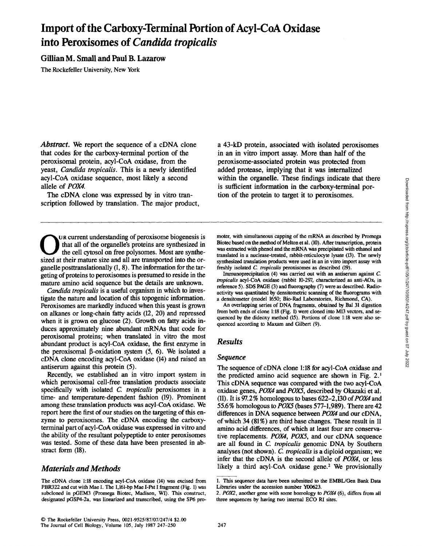# **Import of the Carboxy-Terminal Portion of Acyl-CoA Oxidase into Peroxisomes of** *Candida tropicalis*

## Gillian M. Small and Paul B. Lazarow

The Rockefeller University, New York

*Abstract.* We report the sequence of a cDNA clone that codes for the carboxy-terminal portion of the peroxisomal protein, acyl-CoA oxidase, from the yeast, *Candida tropicalis.* This is a newly identified acyl-CoA oxidase sequence, most likely a second allele of *POX4.* 

The cDNA clone was expressed by in vitro transcription followed by translation. The major product,

UR current understanding of peroxisome biogenesis is at all of the organelle's proteins are synthesized in the cell cytosol on free polysomes. Most are synthesized at their mature size and all are transported into the organelle posttranslationally (1, 8). The information for the targeting of proteins to peroxisomes is presumed to reside in the mature amino acid sequence but the details are unknown.

*Candida tropicalis* is a useful organism in which to investigate the nature and location of this topogenic information. Peroxisomes are markedly induced when this yeast is grown on alkanes or long-chain fatty acids (12, 20) and repressed when it is grown on glucose (2). Growth on fatty acids induces approximately nine abundant mRNAs that code for peroxisomal proteins; when translated in vitro the most abundant product is acyl-CoA oxidase, the first enzyme in the peroxisomal  $\beta$ -oxidation system (5, 6). We isolated a cDNA clone encoding acyl-CoA oxidase (14) and raised an antiserum against this protein (5).

Recently, we established an in vitro import system in which peroxisomal cell-free translation products associate specifically with isolated *C tropicalis* peroxisomes in a time- and temperature-dependent fashion (19). Prominent among these translation products was acyl-CoA oxidase. We report here the first of our studies on the targeting of this enzyme to peroxisomes. The cDNA encoding the carboxyterminal part of acyl-CoA oxidase was expressed in vitro and the ability of the resultant polypeptide to enter peroxisomes was tested. Some of these data have been presented in abstract form (18).

## *Materials and Methods*

The cDNA clone 1:18 encoding acyl-CoA oxidase (14) was excised from PBR322 and cut with Mae I. The 1,161-bp Mae I-Pst I fragment (Fig. 1) was subcloned in pGEM3 (Promega Biotec, Madison, WI). This construct, designated pGSP4-2a, was linearized and transcribed, using the SP6 proa 43-kD protein, associated with isolated peroxisomes in an in vitro import assay. More than half of the peroxisome-associated protein was protected from added protease, implying that it was internalized within the organelle. These findings indicate that there is sufficient information in the carboxy-terminal portion of the protein to target it to peroxisomes.

moter, with simultaneous capping of the mRNA as described by Promega Biotec based on the method of Melton et al. (10). After transcription, protein was extracted with phenol and the mRNA was precipitated with ethanol and translated in a nuclease-treated, rabbit-reticulocyte lysate (13). The newly synthesized translation products were used in an in vitro import assay with freshly isolated *C. tropicalis* peroxisomes as described (19).

Immunoprecipitation (4) was carried out with an antiserum against C *tropicalis* acyl-CoA oxidase (rabbit 10-297, characterized as anti-AOxt in reference 5). SDS PAGE (3) and fluorography (7) were as described. Radioactivity was quantitated by densitometric scanning of the fluorograms with a densitometer (model 1650; Bio-Rad Laboratories, Richmond, CA).

An overlapping series of DNA fragments, obtained by Bal 31 digestion from both ends of clone 1:18 (Fig. 1) were cloned into M13 vectors, and sequenced by the dideoxy method (15). Portions of clone 1:18 were also sequenced according to Maxam and Gilbert (9).

## *Results*

#### *Sequence*

The sequence of cDNA clone 1:18 for acyl-CoA oxidase and the predicted amino acid sequence are shown in Fig. 2.1 This eDNA sequence was compared with the two acyl-CoA oxidase genes, *POX4 and POXS,* described by Okazaki et al. (11). It is *97.2%* homologous to bases *622-2,130 of POX4 and*  55.6% homologous to *POX5* (bases 577-1,989). There are 42 differences in DNA sequence between *POX4* and our cDNA, of which 34 (81%) are third base changes. These result in 11 amino acid differences, of which at least four are conservative replacements. *POX4, POXS,* and our eDNA sequence are all found in C. *tropicalis* genomic DNA by Southern analyses (not shown). *C. tropicalis* is a diploid organism, we infer that the eDNA is the second allele of *POX4,* or less likely a third acyl-CoA oxidase gene.<sup>2</sup> We provisionally

<sup>1.</sup> This sequence data have been submitted to the EMBL/Gen Bank Data Libraries under the accession number Y00623.

*<sup>2.</sup> POX2,* another gene with some homology to *POX4* (6), differs from all three sequences by having two internal ECO RI sites.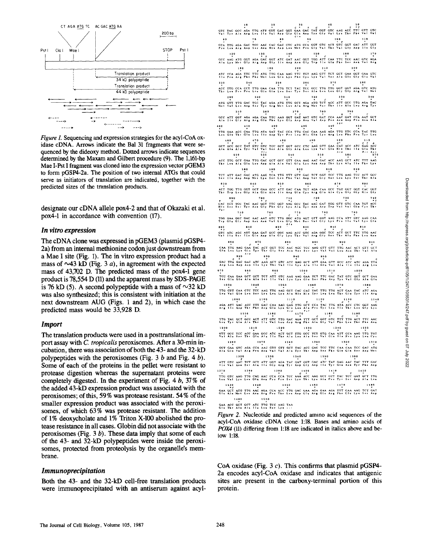

*Figure 1.* Sequencing and expression strategies for the acyl-CoA oxidase cDNA. Arrows indicate the Bal 31 fragments that were sequenced by the dideoxy method. Dotted arrows indicate sequences determined by the Maxam and Gilbert procedure (9). The 1,161-bp Mae I-Pst I fragment was cloned into the expression vector pGEM3 to form pGSP4-2a. The position of two internal ATGs that could serve as initiators of translation are indicated, together with the predicted sizes of the translation products.

designate our cDNA allele pox4-2 and that of Okazaki et al. pox4-1 in accordance with convention (17).

### In vitro expression

The cDNA clone was expressed in pGEM3 (plasmid pGSP4-2a) from an internal methionine codon just downstream from a Mae I site (Fig. 1). The in vitro expression product had a mass of  $\sim$ 43 kD (Fig. 3 a), in agreement with the expected mass of 43,702 D. The predicted mass of the pox4-1 gene product is 78,554 D (11) and the apparent mass by SDS-PAGE is 76 kD (5). A second polypeptide with a mass of  $\sim$ 32 kD was also synthesized; this is consistent with initiation at the next downstream AUG (Figs. 1 and 2), in which case the predicted mass would be 33,928 D.

#### **Import**

The translation products were used in a posttranslational import assay with C. tropicalis peroxisomes. After a 30-min incubation, there was association of both the 43- and the 32-kD polypeptides with the peroxisomes (Fig. 3  $b$  and Fig. 4  $b$ ). Some of each of the proteins in the pellet were resistant to protease digestion whereas the supernatant proteins were completely digested. In the experiment of Fig. 4 b,  $37\%$  of the added 43-kD expression product was associated with the peroxisomes; of this, 59% was protease resistant. 54% of the smaller expression product was associated with the peroxisomes, of which 63% was protease resistant. The addition of 1% deoxycholate and 1% Triton X-100 abolished the protease resistance in all cases. Globin did not associate with the peroxisomes (Fig.  $3 b$ ). These data imply that some of each of the 43- and 32-kD polypeptides were inside the peroxisomes, protected from proteolysis by the organelle's membrane.

#### *Immunoprecipitation*

Both the 43- and the 32-kD cell-free translation products were immunoprecipitated with an antiserum against acylTHE TAC GOD AGAINST THE CAC GOD AND A THE CAC AGAINST CAC AGAINST THE CAC CONDUCTION OF THE CAC AGAINST CAC AGAINST THE CAC AGAINST THE CAC AGAINST THE VALUE OF THE VALUE OF THE VALUE OF THE VALUE OF THE VALUE OF THE VALUE CCA GOT GTC ACT CAC GOT GAC ATT GOT AAC CAC GAC CTC ATG GOT ATC GAT AAC GGT TGG ATT CAA TTC TCC AAC GTC AGA TTC TGT AAG GTT TCT GCT GAA GGT GAA GTC ATG TTG CAA TTG TCT TAC TCC GCC TTG TTG GGT GGT AGA GTC ATG ACC TTG ATG TCT  $\mathop{\text{rec}}$ ATG TTG ACC ATT GCC TTG AGA TAC GCT AGA AAT GTC GAT CCA  $GAT$  $GCT$ CCA TTG CAC  $\frac{4}{9}$   $\frac{1}{1}$ CTC AAG GTT GAA CAC<br>Les Lys Val G1= H1  $\frac{1}{2}$ TCC GCT GGT TTG GAC GCC GTT GAA ALC GAC ACC AAG GCT ATC TTT AAG  $TCA$ STT GAC TCT GGT TCC TTG AAG TCC ACT GCC GCC ATT GAC CAA TGT AGA 710 720 730 740<br>TTC GGT AAG GCC TAC AAC GAT TGG GTT GTC CAA TGT ACC<br>Phe Gly Lys Ala Tyr Ass Asp Trp Val Val Glo Cys Thr AAC AAT GTC TTG GGC ATG AGT GTT GGT TCC ACT ATT GAA GAT GCC GGC<br>ILe Gis Asp Ala Giv ACC OTC CAA TTG AAG GAA<br>GIE Les Lys GLS THE ACT GGT TCC AAC AGC TCC AAG GTT GTT TTG AAC ACT GTT GCT GTT GCT AAC AGC TCC AAG GTT GTT TTG AAC ACT GTT GCT AAG ACT CAA GTT GCC ATC ATC AGA TTA ATC AAG GCT AAG GAA TCT TTC GAC TAT GTC GOT GCT GAA<br>Lys Glu Ser Phe Asp Tyr Val Gly Als Glu 1070 TTG GTT CAA CTC TCC AAG TTG AAG GCT CAC CAC TAC TTG TTG ACT GAA TAC ATC AGA<br>Leu Val Gin Leu Ser Lys Leu Lys Aia His His Tyr Leu Leu Thr Giu Tyr IIe Arm  $1120$ 1100 AGA ATT GAC ACC TTT GAC CAA AAG GAG TTG GCT<br>Arg Ile Arp The Phe Arp Gin Lys Gin Les Als CCA TAC TTG ATA ACC CTC GGT AAG<br>Pro Tyr Leu IIe Thr Leo Gly Lys 1150  $1170$  $1180$ TTG TAC GCT GCC ACT ATT GTC TTG GAC AGA TTT GCT GCT GTC TTT TTG ACT TTC AAC<br>Les Tyr Als Als Thr Ile Val Leu Asp Arg Phe Als Gly Val Phe Leu Thr Phe Ass  $1210$ 1230  $1230$  $1246$ STT GCC TCC ACC GAA GCC ATC ACT GCT TTG GCC TCT GTG CAA ATT CCA AAG TTG TGT GTG TAA ALS TTG TGT GTG TAA ALS TAA ALS EN ALS EN ALS EN ALS EN ALS EN ALS EN ALS EN ALS EN ALS EN ALS EN ALS EN ALS EN ALS EN ALS EN ALS EN ALS E  $1 2 7 0$ GCT GAA GTC AGA CCA AAC GTT GTT GCT TAC ACC GAC TCC TTC CAA CAA TCC GAC ATG<br>Als Giu Val Arg Pro Aen Val Val Als Tyr Thr Aep Ser Phe Gin Gin Ser Aep Met  $1330$  $1350$ ATT GTC AAC TCT GCT ATT GGT AGA TAC GAT GGT GAC ATC TAT GAG AAC TAC TTT GAC<br>Lie Vai Arm Ser Ala lie Gly Arg Tyr Asp Gly Asp Ile Tyr Glu Ass Tyr Phe Asp AAG GCT CCT TAC TCC TTG GTC<br>Les Val AAG TTG CAG AAC CCA CCA TCC<br>Asa Pro Pro Set  $ACC$ GAA GCT ATG TTG AAC AGA CCA ACC TTG GAC GAA AGA GAA AGA TTT GAA AAG TCT GAT<br>Glu Ala Met Leu Aan Arg Pro Thr Leu Aap Glu Arg Glu Arg Phe Glu Lys Ser Asp 1490 1500 GAA ACC GCT GCT ATC TTG TCC AAG TAA<br>Glu Thr Alm Alh 11e Leu Ser Lyn ...

Figure 2. Nucleotide and predicted amino acid sequences of the acyl-CoA oxidase cDNA clone 1:18. Bases and amino acids of POX4 (11) differing from 1:18 are indicated in italics above and below 1:18.

CoA oxidase (Fig. 3  $c$ ). This confirms that plasmid pGSP4-2a encodes acyl-CoA oxidase and indicates that antigenic sites are present in the carboxy-terminal portion of this protein.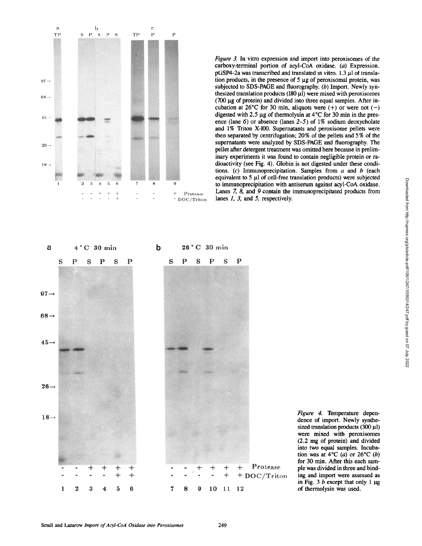

*Figure 3.* In vitro expression and import into peroxisomes of the carboxy-terminal portion of acyl-CoA oxidase. (a) Expression.  $pGSP4-2a$  was transcribed and translated in vitro. 1.3  $\mu$ 1 of translation products, in the presence of  $5 \mu g$  of peroxisomal protein, was subjected to SDS-PAGE and fluorography. (b) Import. Newly synthesized translation products  $(180 \,\mu\text{I})$  were mixed with peroxisomes (700  $\mu$ g of protein) and divided into three equal samples. After incubation at 26<sup>o</sup>C for 30 min, aliquots were (+) or were not (-) digested with 2.5  $\mu$ g of thermolysin at 4°C for 30 min in the presence (lane 6) or absence (lanes *2-5)* of 1% sodium deoxycholate and 1% Triton X-100. Supernatants and peroxisome pellets were then separated by centrifugation; 20% of the pellets and 5% of the supernatants were analyzed by SDS-PAGE and fluorography. The pellet after detergent treatment was omitted here because in preliminary experiments it was found to contain negligible protein or radioactivity (see Fig. 4). Globin is not digested under these conditions. (c) Immunoprecipitation. Samples from  $a$  and  $b$  (each equivalent to 5 µl of cell-free translation products) were subjected to immunoprecipitation with antiserum against acyl-CoA oxidase. Lanes 7, 8, and 9 contain the immunoprecipitated products from lanes 1, 3, and 5, respectively.



*Figure 4.* Temperature dependence of import. Newly synthesized translation products  $(300 \mu l)$ were mixed with peroxisomes (2.2 nag of protein) and divided into two equal samples. Incubation was at  $4^{\circ}C$  (a) or  $26^{\circ}C$  (b) for 30 min. After this each sample was divided in three and binding and import were assessed as in Fig. 3  $b$  except that only 1  $\mu$ g of thermolysin was used.